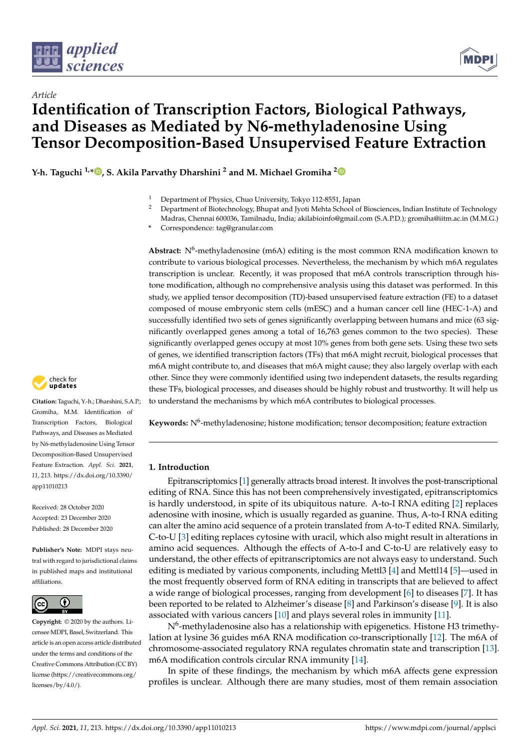



# *Article* **Identification of Transcription Factors, Biological Pathways, and Diseases as Mediated by N6-methyladenosine Using Tensor Decomposition-Based Unsupervised Feature Extraction**

**Y-h. Taguchi 1,\* , S. Akila Parvathy Dharshini <sup>2</sup> and M. Michael Gromiha <sup>2</sup>**

<sup>2</sup> Department of Biotechnology, Bhupat and Jyoti Mehta School of Biosciences, Indian Institute of Technology Madras, Chennai 600036, Tamilnadu, India; akilabioinfo@gmail.com (S.A.P.D.); gromiha@iitm.ac.in (M.M.G.)

Abstract: N<sup>6</sup>-methyladenosine (m6A) editing is the most common RNA modification known to contribute to various biological processes. Nevertheless, the mechanism by which m6A regulates transcription is unclear. Recently, it was proposed that m6A controls transcription through histone modification, although no comprehensive analysis using this dataset was performed. In this study, we applied tensor decomposition (TD)-based unsupervised feature extraction (FE) to a dataset composed of mouse embryonic stem cells (mESC) and a human cancer cell line (HEC-1-A) and successfully identified two sets of genes significantly overlapping between humans and mice (63 significantly overlapped genes among a total of 16,763 genes common to the two species). These significantly overlapped genes occupy at most 10% genes from both gene sets. Using these two sets of genes, we identified transcription factors (TFs) that m6A might recruit, biological processes that m6A might contribute to, and diseases that m6A might cause; they also largely overlap with each other. Since they were commonly identified using two independent datasets, the results regarding these TFs, biological processes, and diseases should be highly robust and trustworthy. It will help us to understand the mechanisms by which m6A contributes to biological processes.



**Citation:** Taguchi, Y.-h.; Dharshini, S.A.P.; Gromiha, M.M. Identification of Transcription Factors, Biological Pathways, and Diseases as Mediated by N6-methyladenosine Using Tensor Decomposition-Based Unsupervised Feature Extraction. *Appl. Sci.* **2021**, *11*, 213. https://dx.doi.org/10.3390/ app11010213

Received: 28 October 2020 Accepted: 23 December 2020 Published: 28 December 2020

**Publisher's Note:** MDPI stays neutral with regard to jurisdictional claims in published maps and institutional affiliations.



**Copyright:** © 2020 by the authors. Licensee MDPI, Basel, Switzerland. This article is an open access article distributed under the terms and conditions of the Creative Commons Attribution (CC BY) license (https://creativecommons.org/ licenses/by/4.0/).

Keywords: N<sup>6</sup>-methyladenosine; histone modification; tensor decomposition; feature extraction

# **1. Introduction**

Epitranscriptomics [1] generally attracts broad interest. It involves the post-transcriptional editing of RNA. Since this has not been comprehensively investigated, epitranscriptomics is hardly understood, in spite of its ubiquitous nature. A-to-I RNA editing [2] replaces adenosine with inosine, which is usually regarded as guanine. Thus, A-to-I RNA editing can alter the amino acid sequence of a protein translated from A-to-T edited RNA. Similarly, C-to-U [3] editing replaces cytosine with uracil, which also might result in alterations in amino acid sequences. Although the effects of A-to-I and C-to-U are relatively easy to understand, the other effects of epitranscriptomics are not always easy to understand. Such editing is mediated by various components, including Mettl3 [4] and Mettl14 [5]—used in the most frequently observed form of RNA editing in transcripts that are believed to affect a wide range of biological processes, ranging from development [6] to diseases [7]. It has been reported to be related to Alzheimer's disease [8] and Parkinson's disease [9]. It is also associated with various cancers [10] and plays several roles in immunity [11].

 $\mathrm{N}^6$ -methyladenosine also has a relationship with epigenetics. Histone H3 trimethylation at lysine 36 guides m6A RNA modification co-transcriptionally [12]. The m6A of chromosome-associated regulatory RNA regulates chromatin state and transcription [13]. m6A modification controls circular RNA immunity [14].

In spite of these findings, the mechanism by which m6A affects gene expression profiles is unclear. Although there are many studies, most of them remain association

<sup>1</sup> Department of Physics, Chuo University, Tokyo 112-8551, Japan

**<sup>\*</sup>** Correspondence: tag@granular.com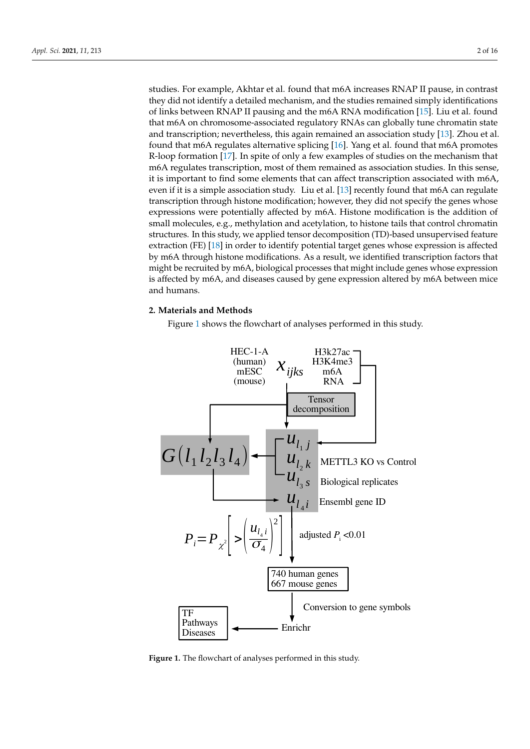studies. For example, Akhtar et al. found that m6A increases RNAP II pause, in contrast they did not identify a detailed mechanism, and the studies remained simply identifications of links between RNAP II pausing and the m6A RNA modification [15]. Liu et al. found that m6A on chromosome-associated regulatory RNAs can globally tune chromatin state and transcription; nevertheless, this again remained an association study [13]. Zhou et al. found that m6A regulates alternative splicing [16]. Yang et al. found that m6A promotes R-loop formation [17]. In spite of only a few examples of studies on the mechanism that m6A regulates transcription, most of them remained as association studies. In this sense, it is important to find some elements that can affect transcription associated with m6A, even if it is a simple association study. Liu et al. [13] recently found that m6A can regulate transcription through histone modification; however, they did not specify the genes whose expressions were potentially affected by m6A. Histone modification is the addition of small molecules, e.g., methylation and acetylation, to histone tails that control chromatin structures. In this study, we applied tensor decomposition (TD)-based unsupervised feature extraction (FE) [18] in order to identify potential target genes whose expression is affected by m6A through histone modifications. As a result, we identified transcription factors that might be recruited by m6A, biological processes that might include genes whose expression is affected by m6A, and diseases caused by gene expression altered by m6A between mice and humans.

# **2. Materials and Methods**

Figure 1 shows the flowchart of analyses performed in this study.



**Figure 1.** The flowchart of analyses performed in this study.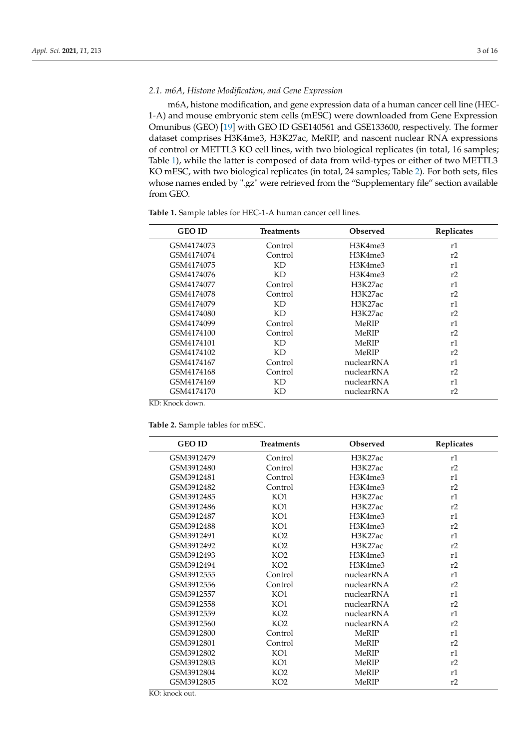# *2.1. m6A, Histone Modification, and Gene Expression*

m6A, histone modification, and gene expression data of a human cancer cell line (HEC-1-A) and mouse embryonic stem cells (mESC) were downloaded from Gene Expression Omunibus (GEO) [19] with GEO ID GSE140561 and GSE133600, respectively. The former dataset comprises H3K4me3, H3K27ac, MeRIP, and nascent nuclear RNA expressions of control or METTL3 KO cell lines, with two biological replicates (in total, 16 samples; Table 1), while the latter is composed of data from wild-types or either of two METTL3 KO mESC, with two biological replicates (in total, 24 samples; Table 2). For both sets, files whose names ended by ".gz" were retrieved from the "Supplementary file" section available from GEO.

| <b>GEO ID</b> | Treatments | Observed   | Replicates |
|---------------|------------|------------|------------|
| GSM4174073    | Control    | H3K4me3    | r1         |
| GSM4174074    | Control    | H3K4me3    | r2         |
| GSM4174075    | KD         | H3K4me3    | r1         |
| GSM4174076    | KD         | H3K4me3    | r2         |
| GSM4174077    | Control    | H3K27ac    | r1         |
| GSM4174078    | Control    | H3K27ac    | r2         |
| GSM4174079    | KD         | H3K27ac    | r1         |
| GSM4174080    | KD         | H3K27ac    | r2         |
| GSM4174099    | Control    | MeRIP      | r1         |
| GSM4174100    | Control    | MeRIP      | r2         |
| GSM4174101    | ΚD         | MeRIP      | r1         |
| GSM4174102    | KD         | MeRIP      | r2         |
| GSM4174167    | Control    | nuclearRNA | r1         |
| GSM4174168    | Control    | nuclearRNA | r2         |
| GSM4174169    | KD         | nuclearRNA | r1         |
| GSM4174170    | ΚD         | nuclearRNA | r2         |

**Table 1.** Sample tables for HEC-1-A human cancer cell lines.

KD: Knock down.

**Table 2.** Sample tables for mESC.

| <b>GEO ID</b> | <b>Treatments</b> | Observed   | Replicates |
|---------------|-------------------|------------|------------|
| GSM3912479    | Control           | H3K27ac    | r1         |
| GSM3912480    | Control           | H3K27ac    | r2         |
| GSM3912481    | Control           | H3K4me3    | r1         |
| GSM3912482    | Control           | H3K4me3    | r2         |
| GSM3912485    | KO1               | H3K27ac    | r1         |
| GSM3912486    | KO1               | H3K27ac    | r2         |
| GSM3912487    | KO1               | H3K4me3    | r1         |
| GSM3912488    | KO1               | H3K4me3    | r2         |
| GSM3912491    | KO2               | H3K27ac    | r1         |
| GSM3912492    | KO2               | H3K27ac    | r2         |
| GSM3912493    | KO2               | H3K4me3    | r1         |
| GSM3912494    | KO <sub>2</sub>   | H3K4me3    | r2         |
| GSM3912555    | Control           | nuclearRNA | r1         |
| GSM3912556    | Control           | nuclearRNA | r2         |
| GSM3912557    | KO1               | nuclearRNA | r1         |
| GSM3912558    | KO1               | nuclearRNA | r2         |
| GSM3912559    | KO <sub>2</sub>   | nuclearRNA | r1         |
| GSM3912560    | KO <sub>2</sub>   | nuclearRNA | r2         |
| GSM3912800    | Control           | MeRIP      | r1         |
| GSM3912801    | Control           | MeRIP      | r2         |
| GSM3912802    | KO1               | MeRIP      | r1         |
| GSM3912803    | KO1               | MeRIP      | r2         |
| GSM3912804    | KO <sub>2</sub>   | MeRIP      | r1         |
| GSM3912805    | KO <sub>2</sub>   | MeRIP      | r2         |
|               |                   |            |            |

KO: knock out.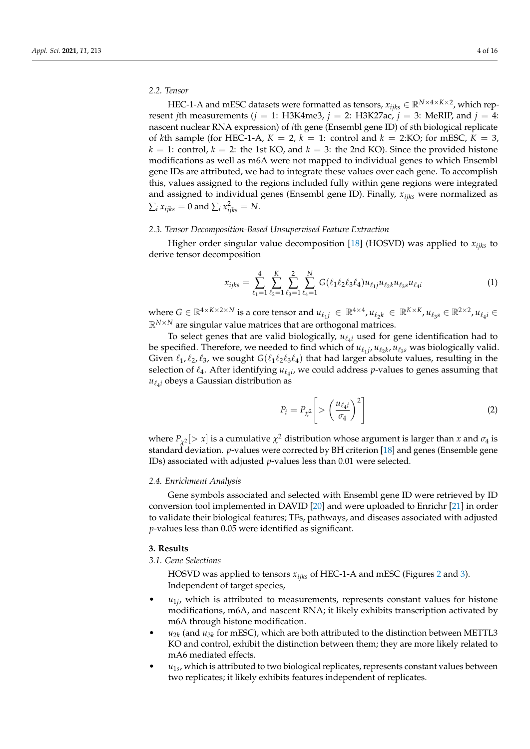# *2.2. Tensor*

HEC-1-A and mESC datasets were formatted as tensors,  $x_{ijks} \in \mathbb{R}^{N \times 4 \times K \times 2}$ , which represent *j*th measurements ( $j = 1$ : H3K4me3,  $j = 2$ : H3K27ac,  $j = 3$ : MeRIP, and  $j = 4$ : nascent nuclear RNA expression) of *i*th gene (Ensembl gene ID) of *s*th biological replicate of *k*th sample (for HEC-1-A,  $K = 2$ ,  $k = 1$ : control and  $k = 2$ :KO; for mESC,  $K = 3$ ,  $k = 1$ : control,  $k = 2$ : the 1st KO, and  $k = 3$ : the 2nd KO). Since the provided histone modifications as well as m6A were not mapped to individual genes to which Ensembl gene IDs are attributed, we had to integrate these values over each gene. To accomplish this, values assigned to the regions included fully within gene regions were integrated and assigned to individual genes (Ensembl gene ID). Finally, *xijks* were normalized as  $\sum_i x_{ijks} = 0$  and  $\sum_i x_{ijks}^2 = N$ .

#### *2.3. Tensor Decomposition-Based Unsupervised Feature Extraction*

Higher order singular value decomposition [18] (HOSVD) was applied to *xijks* to derive tensor decomposition

$$
x_{ijks} = \sum_{\ell_1=1}^4 \sum_{\ell_2=1}^K \sum_{\ell_3=1}^3 \sum_{\ell_4=1}^N G(\ell_1 \ell_2 \ell_3 \ell_4) u_{\ell_1 j} u_{\ell_2 k} u_{\ell_3 s} u_{\ell_4 i} \tag{1}
$$

where  $G \in \mathbb{R}^{4 \times K \times 2 \times N}$  is a core tensor and  $u_{\ell_1j} \in \mathbb{R}^{4 \times 4}$ ,  $u_{\ell_2k} \in \mathbb{R}^{K \times K}$ ,  $u_{\ell_3s} \in \mathbb{R}^{2 \times 2}$ ,  $u_{\ell_4i} \in$  $\mathbb{R}^{N \times N}$  are singular value matrices that are orthogonal matrices.

To select genes that are valid biologically,  $u_{\ell_4 i}$  used for gene identification had to be specified. Therefore, we needed to find which of  $u_{\ell_1j}$ ,  $u_{\ell_2k}$ ,  $u_{\ell_3s}$  was biologically valid. Given  $\ell_1, \ell_2, \ell_3$ , we sought  $G(\ell_1 \ell_2 \ell_3 \ell_4)$  that had larger absolute values, resulting in the selection of  $\ell_4$ . After identifying  $u_{\ell_4 i}$ , we could address *p*-values to genes assuming that  $u_{\ell_4 i}$  obeys a Gaussian distribution as

$$
P_i = P_{\chi^2} \left[ > \left( \frac{u_{\ell_4 i}}{\sigma_4} \right)^2 \right] \tag{2}
$$

where  $P_{\chi^2}$  [> *x*] is a cumulative  $\chi^2$  distribution whose argument is larger than *x* and  $\sigma_4$  is standard deviation. *p*-values were corrected by BH criterion [18] and genes (Ensemble gene IDs) associated with adjusted *p*-values less than 0.01 were selected.

## *2.4. Enrichment Analysis*

Gene symbols associated and selected with Ensembl gene ID were retrieved by ID conversion tool implemented in DAVID [20] and were uploaded to Enrichr [21] in order to validate their biological features; TFs, pathways, and diseases associated with adjusted *p*-values less than 0.05 were identified as significant.

# **3. Results**

*3.1. Gene Selections*

HOSVD was applied to tensors *xijks* of HEC-1-A and mESC (Figures 2 and 3). Independent of target species,

- $\bullet$   $u_{1j}$ , which is attributed to measurements, represents constant values for histone modifications, m6A, and nascent RNA; it likely exhibits transcription activated by m6A through histone modification.
- $\bullet$  *u*<sub>2*k*</sub> (and *u*<sub>3*k*</sub> for mESC), which are both attributed to the distinction between METTL3 KO and control, exhibit the distinction between them; they are more likely related to mA6 mediated effects.
- *u*<sub>1*s*</sub>, which is attributed to two biological replicates, represents constant values between two replicates; it likely exhibits features independent of replicates.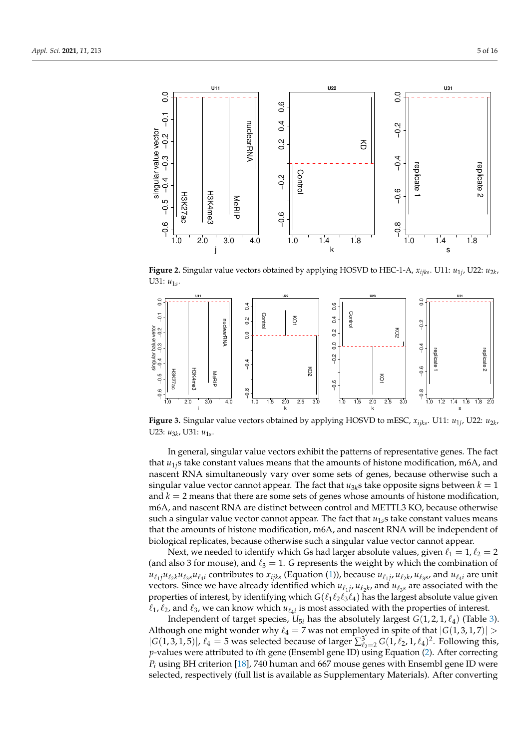

**Figure 2.** Singular value vectors obtained by applying HOSVD to HEC-1-A, *xijks*. U11: *u*1*<sup>j</sup>* , U22: *u*2*<sup>k</sup>* , U31:  $u_{1s}$ .



**Figure 3.** Singular value vectors obtained by applying HOSVD to mESC, *xijks*. U11: *u*1*<sup>j</sup>* , U22: *u*2*<sup>k</sup>* , U23: *u*<sub>3*k*</sub>, U31: *u*<sub>1s</sub>.

In general, singular value vectors exhibit the patterns of representative genes. The fact that *u*1*j*s take constant values means that the amounts of histone modification, m6A, and nascent RNA simultaneously vary over some sets of genes, because otherwise such a singular value vector cannot appear. The fact that  $u_{3k}$ s take opposite signs between  $k = 1$ and *k* = 2 means that there are some sets of genes whose amounts of histone modification, m6A, and nascent RNA are distinct between control and METTL3 KO, because otherwise such a singular value vector cannot appear. The fact that *u*1*s*s take constant values means that the amounts of histone modification, m6A, and nascent RNA will be independent of biological replicates, because otherwise such a singular value vector cannot appear.

Next, we needed to identify which *Gs* had larger absolute values, given  $\ell_1 = 1$ ,  $\ell_2 = 2$ (and also 3 for mouse), and  $\ell_3 = 1$ . *G* represents the weight by which the combination of  $u_{\ell_1j}u_{\ell_2k}u_{\ell_3s}u_{\ell_4i}$  contributes to  $x_{ijks}$  (Equation (1)), because  $u_{\ell_1j}$ ,  $u_{\ell_2k}$ ,  $u_{\ell_3s}$ , and  $u_{\ell_4i}$  are unit vectors. Since we have already identified which  $u_{\ell_1 j}$ ,  $u_{\ell_2 k}$ , and  $u_{\ell_3 s}$  are associated with the properties of interest, by identifying which  $G(\ell_1\ell_2\ell_3\ell_4)$  has the largest absolute value given  $\ell_1$ ,  $\ell_2$ , and  $\ell_3$ , we can know which  $u_{\ell_4}$  is most associated with the properties of interest.

Independent of target species,  $U_{5i}$  has the absolutely largest  $G(1, 2, 1, \ell_4)$  (Table 3). Although one might wonder why  $\ell_4 = 7$  was not employed in spite of that  $|G(1,3,1,7)| >$  $|G(1,3,1,5)|, \ell_4 = 5$  was selected because of larger  $\sum_{\ell_2=2}^3 G(1,\ell_2,1,\ell_4)^2$ . Following this, *p*-values were attributed to *i*th gene (Ensembl gene ID) using Equation (2). After correcting *P<sup>i</sup>* using BH criterion [18], 740 human and 667 mouse genes with Ensembl gene ID were selected, respectively (full list is available as Supplementary Materials). After converting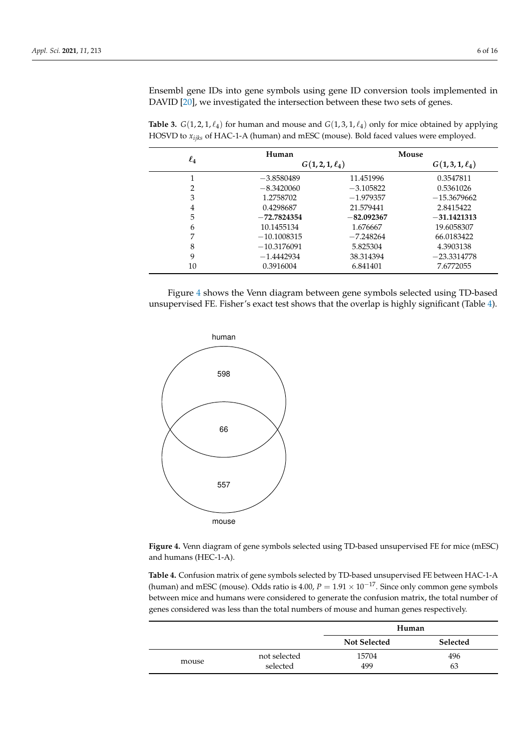Ensembl gene IDs into gene symbols using gene ID conversion tools implemented in DAVID [20], we investigated the intersection between these two sets of genes.

|          | Human                |              | Mouse             |
|----------|----------------------|--------------|-------------------|
| $\ell_4$ | $G(1, 2, 1, \ell_4)$ |              | $G(1,3,1,\ell_4)$ |
|          | $-3.8580489$         | 11.451996    | 0.3547811         |
| 2        | $-8.3420060$         | $-3.105822$  | 0.5361026         |
| 3        | 1.2758702            | $-1.979357$  | $-15.3679662$     |
| 4        | 0.4298687            | 21.579441    | 2.8415422         |
| 5        | $-72.7824354$        | $-82.092367$ | $-31.1421313$     |
| 6        | 10.1455134           | 1.676667     | 19.6058307        |
| 7        | $-10.1008315$        | $-7.248264$  | 66.0183422        |
| 8        | $-10.3176091$        | 5.825304     | 4.3903138         |
| 9        | $-1.4442934$         | 38.314394    | $-23.3314778$     |
| 10       | 0.3916004            | 6.841401     | 7.6772055         |

**Table 3.** *G*(1, 2, 1,  $\ell_4$ ) for human and mouse and *G*(1, 3, 1,  $\ell_4$ ) only for mice obtained by applying HOSVD to *xijks* of HAC-1-A (human) and mESC (mouse). Bold faced values were employed.

Figure 4 shows the Venn diagram between gene symbols selected using TD-based unsupervised FE. Fisher's exact test shows that the overlap is highly significant (Table 4).



**Figure 4.** Venn diagram of gene symbols selected using TD-based unsupervised FE for mice (mESC) and humans (HEC-1-A).

**Table 4.** Confusion matrix of gene symbols selected by TD-based unsupervised FE between HAC-1-A (human) and mESC (mouse). Odds ratio is 4.00,  $P = 1.91 \times 10^{-17}$ . Since only common gene symbols between mice and humans were considered to generate the confusion matrix, the total number of genes considered was less than the total numbers of mouse and human genes respectively.

|       |                          | Human               |                 |  |
|-------|--------------------------|---------------------|-----------------|--|
|       |                          | <b>Not Selected</b> | <b>Selected</b> |  |
| mouse | not selected<br>selected | 15704<br>499        | 496<br>63       |  |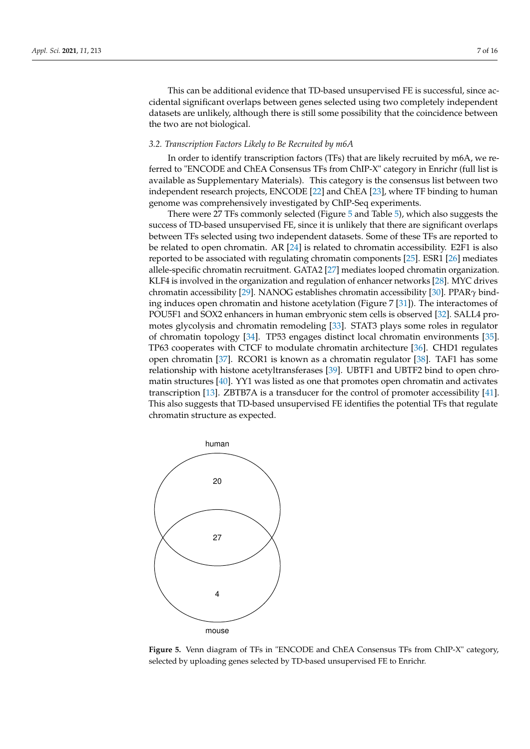This can be additional evidence that TD-based unsupervised FE is successful, since accidental significant overlaps between genes selected using two completely independent datasets are unlikely, although there is still some possibility that the coincidence between the two are not biological.

# *3.2. Transcription Factors Likely to Be Recruited by m6A*

In order to identify transcription factors (TFs) that are likely recruited by m6A, we referred to "ENCODE and ChEA Consensus TFs from ChIP-X" category in Enrichr (full list is available as Supplementary Materials). This category is the consensus list between two independent research projects, ENCODE [22] and ChEA [23], where TF binding to human genome was comprehensively investigated by ChIP-Seq experiments.

There were 27 TFs commonly selected (Figure 5 and Table 5), which also suggests the success of TD-based unsupervised FE, since it is unlikely that there are significant overlaps between TFs selected using two independent datasets. Some of these TFs are reported to be related to open chromatin. AR [24] is related to chromatin accessibility. E2F1 is also reported to be associated with regulating chromatin components [25]. ESR1 [26] mediates allele-specific chromatin recruitment. GATA2 [27] mediates looped chromatin organization. KLF4 is involved in the organization and regulation of enhancer networks [28]. MYC drives chromatin accessibility [29]. NANOG establishes chromatin accessibility [30]. PPAR*γ* binding induces open chromatin and histone acetylation (Figure 7 [31]). The interactomes of POU5F1 and SOX2 enhancers in human embryonic stem cells is observed [32]. SALL4 promotes glycolysis and chromatin remodeling [33]. STAT3 plays some roles in regulator of chromatin topology [34]. TP53 engages distinct local chromatin environments [35]. TP63 cooperates with CTCF to modulate chromatin architecture [36]. CHD1 regulates open chromatin [37]. RCOR1 is known as a chromatin regulator [38]. TAF1 has some relationship with histone acetyltransferases [39]. UBTF1 and UBTF2 bind to open chromatin structures [40]. YY1 was listed as one that promotes open chromatin and activates transcription [13]. ZBTB7A is a transducer for the control of promoter accessibility [41]. This also suggests that TD-based unsupervised FE identifies the potential TFs that regulate chromatin structure as expected.



**Figure 5.** Venn diagram of TFs in "ENCODE and ChEA Consensus TFs from ChIP-X" category, selected by uploading genes selected by TD-based unsupervised FE to Enrichr.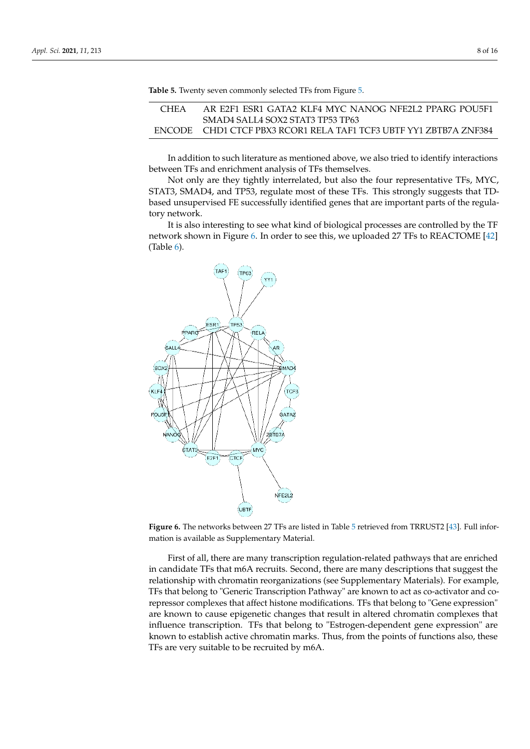| CHEA | AR E2F1 ESR1 GATA2 KLF4 MYC NANOG NFE2L2 PPARG POU5F1             |
|------|-------------------------------------------------------------------|
|      | SMAD4 SALLA SOX2 STAT3 TP53 TP63                                  |
|      | ENCODE CHD1 CTCF PBX3 RCOR1 RELA TAF1 TCF3 UBTF YY1 ZBTB7A ZNF384 |

**Table 5.** Twenty seven commonly selected TFs from Figure 5.

In addition to such literature as mentioned above, we also tried to identify interactions between TFs and enrichment analysis of TFs themselves.

Not only are they tightly interrelated, but also the four representative TFs, MYC, STAT3, SMAD4, and TP53, regulate most of these TFs. This strongly suggests that TDbased unsupervised FE successfully identified genes that are important parts of the regulatory network.

It is also interesting to see what kind of biological processes are controlled by the TF network shown in Figure 6. In order to see this, we uploaded 27 TFs to REACTOME [42] (Table 6).



**Figure 6.** The networks between 27 TFs are listed in Table 5 retrieved from TRRUST2 [43]. Full information is available as Supplementary Material.

First of all, there are many transcription regulation-related pathways that are enriched in candidate TFs that m6A recruits. Second, there are many descriptions that suggest the relationship with chromatin reorganizations (see Supplementary Materials). For example, TFs that belong to "Generic Transcription Pathway" are known to act as co-activator and corepressor complexes that affect histone modifications. TFs that belong to "Gene expression" are known to cause epigenetic changes that result in altered chromatin complexes that influence transcription. TFs that belong to "Estrogen-dependent gene expression" are known to establish active chromatin marks. Thus, from the points of functions also, these TFs are very suitable to be recruited by m6A.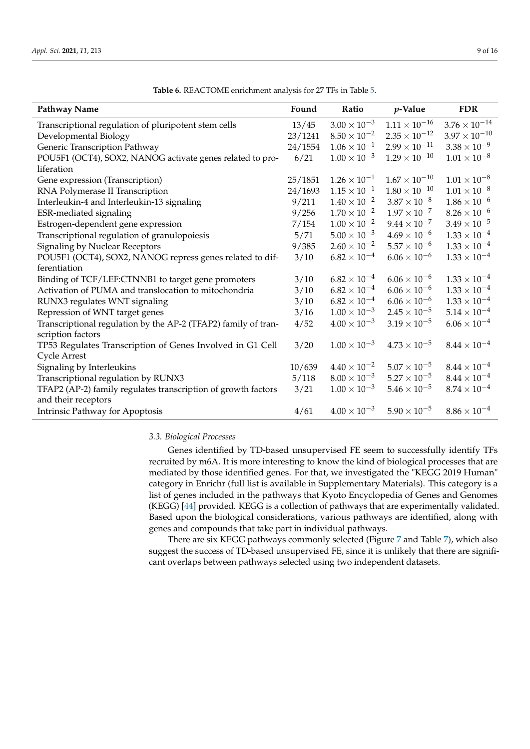| <b>Pathway Name</b>                                            | Found   | Ratio                 | $p$ -Value             | <b>FDR</b>             |
|----------------------------------------------------------------|---------|-----------------------|------------------------|------------------------|
| Transcriptional regulation of pluripotent stem cells           | 13/45   | $3.00 \times 10^{-3}$ | $1.11 \times 10^{-16}$ | $3.76 \times 10^{-14}$ |
| Developmental Biology                                          | 23/1241 | $8.50 \times 10^{-2}$ | $2.35 \times 10^{-12}$ | $3.97 \times 10^{-10}$ |
| Generic Transcription Pathway                                  | 24/1554 | $1.06 \times 10^{-1}$ | $2.99 \times 10^{-11}$ | $3.38 \times 10^{-9}$  |
| POU5F1 (OCT4), SOX2, NANOG activate genes related to pro-      | 6/21    | $1.00 \times 10^{-3}$ | $1.29 \times 10^{-10}$ | $1.01 \times 10^{-8}$  |
| liferation                                                     |         |                       |                        |                        |
| Gene expression (Transcription)                                | 25/1851 | $1.26 \times 10^{-1}$ | $1.67 \times 10^{-10}$ | $1.01 \times 10^{-8}$  |
| RNA Polymerase II Transcription                                | 24/1693 | $1.15 \times 10^{-1}$ | $1.80 \times 10^{-10}$ | $1.01 \times 10^{-8}$  |
| Interleukin-4 and Interleukin-13 signaling                     | 9/211   | $1.40 \times 10^{-2}$ | $3.87 \times 10^{-8}$  | $1.86\times10^{-6}$    |
| ESR-mediated signaling                                         | 9/256   | $1.70 \times 10^{-2}$ | $1.97 \times 10^{-7}$  | $8.26 \times 10^{-6}$  |
| Estrogen-dependent gene expression                             | 7/154   | $1.00 \times 10^{-2}$ | $9.44 \times 10^{-7}$  | $3.49 \times 10^{-5}$  |
| Transcriptional regulation of granulopoiesis                   | 5/71    | $5.00 \times 10^{-3}$ | $4.69 \times 10^{-6}$  | $1.33\times10^{-4}$    |
| <b>Signaling by Nuclear Receptors</b>                          | 9/385   | $2.60 \times 10^{-2}$ | $5.57\times10^{-6}$    | $1.33 \times 10^{-4}$  |
| POU5F1 (OCT4), SOX2, NANOG repress genes related to dif-       | 3/10    | $6.82 \times 10^{-4}$ | $6.06 \times 10^{-6}$  | $1.33 \times 10^{-4}$  |
| ferentiation                                                   |         |                       |                        |                        |
| Binding of TCF/LEF:CTNNB1 to target gene promoters             | 3/10    | $6.82 \times 10^{-4}$ | $6.06 \times 10^{-6}$  | $1.33 \times 10^{-4}$  |
| Activation of PUMA and translocation to mitochondria           | 3/10    | $6.82 \times 10^{-4}$ | $6.06\times10^{-6}$    | $1.33 \times 10^{-4}$  |
| RUNX3 regulates WNT signaling                                  | 3/10    | $6.82\times10^{-4}$   | $6.06 \times 10^{-6}$  | $1.33 \times 10^{-4}$  |
| Repression of WNT target genes                                 | 3/16    | $1.00 \times 10^{-3}$ | $2.45 \times 10^{-5}$  | $5.14 \times 10^{-4}$  |
| Transcriptional regulation by the AP-2 (TFAP2) family of tran- | 4/52    | $4.00 \times 10^{-3}$ | $3.19 \times 10^{-5}$  | $6.06 \times 10^{-4}$  |
| scription factors                                              |         |                       |                        |                        |
| TP53 Regulates Transcription of Genes Involved in G1 Cell      | 3/20    | $1.00 \times 10^{-3}$ | $4.73 \times 10^{-5}$  | $8.44 \times 10^{-4}$  |
| <b>Cycle Arrest</b>                                            |         |                       |                        |                        |
| Signaling by Interleukins                                      | 10/639  | $4.40 \times 10^{-2}$ | $5.07 \times 10^{-5}$  | $8.44\times10^{-4}$    |
| Transcriptional regulation by RUNX3                            | 5/118   | $8.00 \times 10^{-3}$ | $5.27 \times 10^{-5}$  | $8.44\times10^{-4}$    |
| TFAP2 (AP-2) family regulates transcription of growth factors  | 3/21    | $1.00 \times 10^{-3}$ | $5.46 \times 10^{-5}$  | $8.74 \times 10^{-4}$  |
| and their receptors                                            |         |                       |                        |                        |
| Intrinsic Pathway for Apoptosis                                | 4/61    | $4.00 \times 10^{-3}$ | $5.90 \times 10^{-5}$  | $8.86 \times 10^{-4}$  |

| <b>Table 6.</b> REACTOME enrichment analysis for 27 TFs in Table 5. |  |
|---------------------------------------------------------------------|--|
|---------------------------------------------------------------------|--|

#### *3.3. Biological Processes*

Genes identified by TD-based unsupervised FE seem to successfully identify TFs recruited by m6A. It is more interesting to know the kind of biological processes that are mediated by those identified genes. For that, we investigated the "KEGG 2019 Human" category in Enrichr (full list is available in Supplementary Materials). This category is a list of genes included in the pathways that Kyoto Encyclopedia of Genes and Genomes (KEGG) [44] provided. KEGG is a collection of pathways that are experimentally validated. Based upon the biological considerations, various pathways are identified, along with genes and compounds that take part in individual pathways.

There are six KEGG pathways commonly selected (Figure 7 and Table 7), which also suggest the success of TD-based unsupervised FE, since it is unlikely that there are significant overlaps between pathways selected using two independent datasets.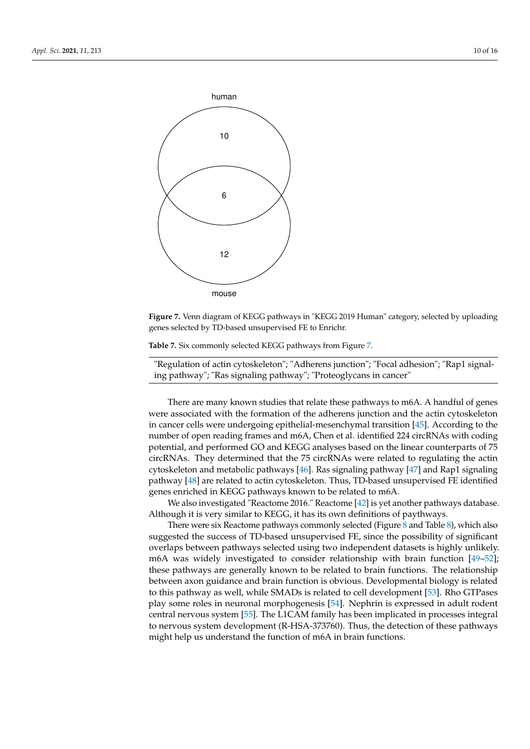

**Figure 7.** Venn diagram of KEGG pathways in "KEGG 2019 Human" category, selected by uploading genes selected by TD-based unsupervised FE to Enrichr.

**Table 7.** Six commonly selected KEGG pathways from Figure 7.

"Regulation of actin cytoskeleton"; "Adherens junction"; "Focal adhesion"; "Rap1 signaling pathway"; "Ras signaling pathway"; "Proteoglycans in cancer"

There are many known studies that relate these pathways to m6A. A handful of genes were associated with the formation of the adherens junction and the actin cytoskeleton in cancer cells were undergoing epithelial-mesenchymal transition [45]. According to the number of open reading frames and m6A, Chen et al. identified 224 circRNAs with coding potential, and performed GO and KEGG analyses based on the linear counterparts of 75 circRNAs. They determined that the 75 circRNAs were related to regulating the actin cytoskeleton and metabolic pathways [46]. Ras signaling pathway [47] and Rap1 signaling pathway [48] are related to actin cytoskeleton. Thus, TD-based unsupervised FE identified genes enriched in KEGG pathways known to be related to m6A.

We also investigated "Reactome 2016." Reactome [42] is yet another pathways database. Although it is very similar to KEGG, it has its own definitions of paythways.

There were six Reactome pathways commonly selected (Figure 8 and Table 8), which also suggested the success of TD-based unsupervised FE, since the possibility of significant overlaps between pathways selected using two independent datasets is highly unlikely. m6A was widely investigated to consider relationship with brain function [49–52]; these pathways are generally known to be related to brain functions. The relationship between axon guidance and brain function is obvious. Developmental biology is related to this pathway as well, while SMADs is related to cell development [53]. Rho GTPases play some roles in neuronal morphogenesis [54]. Nephrin is expressed in adult rodent central nervous system [55]. The L1CAM family has been implicated in processes integral to nervous system development (R-HSA-373760). Thus, the detection of these pathways might help us understand the function of m6A in brain functions.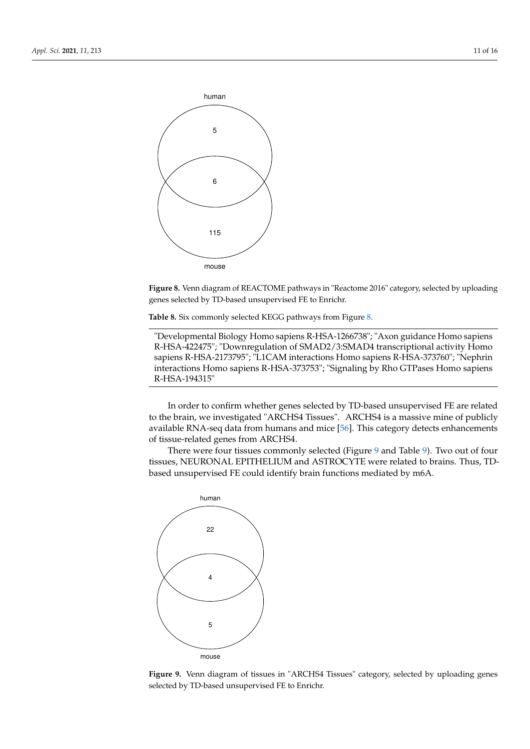

**Figure 8.** Venn diagram of REACTOME pathways in "Reactome 2016" category, selected by uploading genes selected by TD-based unsupervised FE to Enrichr.

**Table 8.** Six commonly selected KEGG pathways from Figure 8.

"Developmental Biology Homo sapiens R-HSA-1266738"; "Axon guidance Homo sapiens R-HSA-422475"; "Downregulation of SMAD2/3:SMAD4 transcriptional activity Homo sapiens R-HSA-2173795"; "L1CAM interactions Homo sapiens R-HSA-373760"; "Nephrin interactions Homo sapiens R-HSA-373753"; "Signaling by Rho GTPases Homo sapiens R-HSA-194315"

In order to confirm whether genes selected by TD-based unsupervised FE are related to the brain, we investigated "ARCHS4 Tissues". ARCHS4 is a massive mine of publicly available RNA-seq data from humans and mice [56]. This category detects enhancements of tissue-related genes from ARCHS4.

There were four tissues commonly selected (Figure 9 and Table 9). Two out of four tissues, NEURONAL EPITHELIUM and ASTROCYTE were related to brains. Thus, TDbased unsupervised FE could identify brain functions mediated by m6A.



Figure 9. Venn diagram of tissues in "ARCHS4 Tissues" category, selected by uploading genes selected by TD-based unsupervised FE to Enrichr.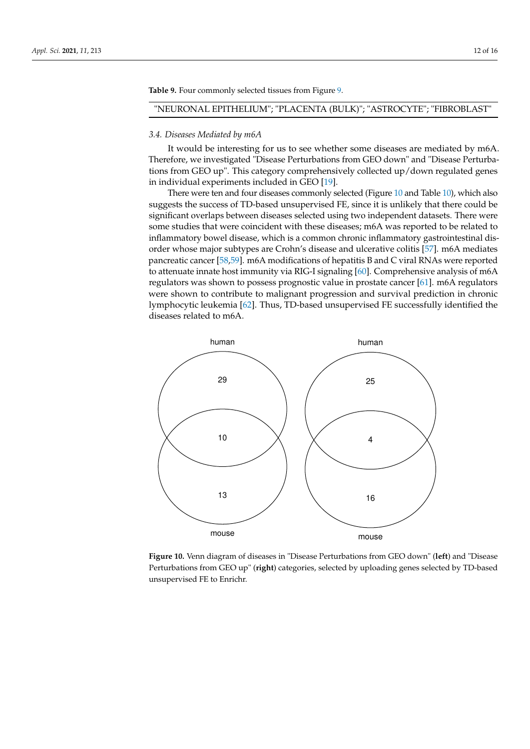**Table 9.** Four commonly selected tissues from Figure 9.

# "NEURONAL EPITHELIUM"; "PLACENTA (BULK)"; "ASTROCYTE"; "FIBROBLAST"

#### *3.4. Diseases Mediated by m6A*

It would be interesting for us to see whether some diseases are mediated by m6A. Therefore, we investigated "Disease Perturbations from GEO down" and "Disease Perturbations from GEO up". This category comprehensively collected up/down regulated genes in individual experiments included in GEO [19].

There were ten and four diseases commonly selected (Figure 10 and Table 10), which also suggests the success of TD-based unsupervised FE, since it is unlikely that there could be significant overlaps between diseases selected using two independent datasets. There were some studies that were coincident with these diseases; m6A was reported to be related to inflammatory bowel disease, which is a common chronic inflammatory gastrointestinal disorder whose major subtypes are Crohn's disease and ulcerative colitis [57]. m6A mediates pancreatic cancer [58,59]. m6A modifications of hepatitis B and C viral RNAs were reported to attenuate innate host immunity via RIG-I signaling [60]. Comprehensive analysis of m6A regulators was shown to possess prognostic value in prostate cancer [61]. m6A regulators were shown to contribute to malignant progression and survival prediction in chronic lymphocytic leukemia [62]. Thus, TD-based unsupervised FE successfully identified the diseases related to m6A.



**Figure 10.** Venn diagram of diseases in "Disease Perturbations from GEO down" (**left**) and "Disease Perturbations from GEO up" (**right**) categories, selected by uploading genes selected by TD-based unsupervised FE to Enrichr.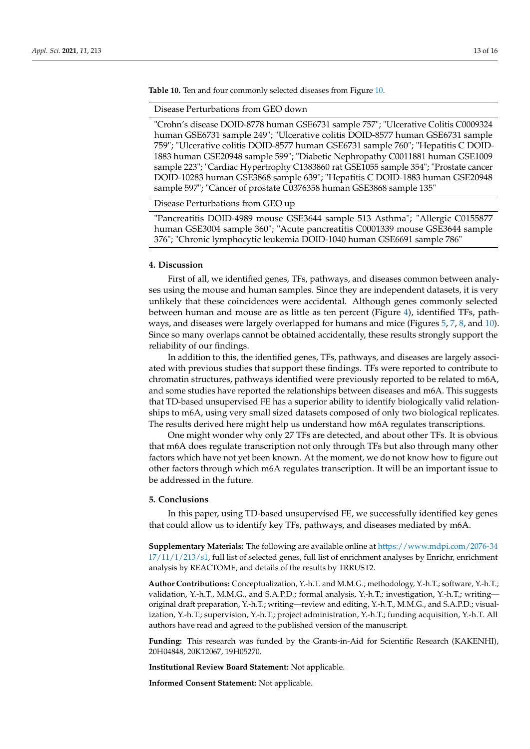**Table 10.** Ten and four commonly selected diseases from Figure 10.

Disease Perturbations from GEO down

"Crohn's disease DOID-8778 human GSE6731 sample 757"; "Ulcerative Colitis C0009324 human GSE6731 sample 249"; "Ulcerative colitis DOID-8577 human GSE6731 sample 759"; "Ulcerative colitis DOID-8577 human GSE6731 sample 760"; "Hepatitis C DOID-1883 human GSE20948 sample 599"; "Diabetic Nephropathy C0011881 human GSE1009 sample 223"; "Cardiac Hypertrophy C1383860 rat GSE1055 sample 354"; "Prostate cancer DOID-10283 human GSE3868 sample 639"; "Hepatitis C DOID-1883 human GSE20948 sample 597"; "Cancer of prostate C0376358 human GSE3868 sample 135"

Disease Perturbations from GEO up

"Pancreatitis DOID-4989 mouse GSE3644 sample 513 Asthma"; "Allergic C0155877 human GSE3004 sample 360"; "Acute pancreatitis C0001339 mouse GSE3644 sample 376"; "Chronic lymphocytic leukemia DOID-1040 human GSE6691 sample 786"

### **4. Discussion**

First of all, we identified genes, TFs, pathways, and diseases common between analyses using the mouse and human samples. Since they are independent datasets, it is very unlikely that these coincidences were accidental. Although genes commonly selected between human and mouse are as little as ten percent (Figure 4), identified TFs, pathways, and diseases were largely overlapped for humans and mice (Figures 5, 7, 8, and 10). Since so many overlaps cannot be obtained accidentally, these results strongly support the reliability of our findings.

In addition to this, the identified genes, TFs, pathways, and diseases are largely associated with previous studies that support these findings. TFs were reported to contribute to chromatin structures, pathways identified were previously reported to be related to m6A, and some studies have reported the relationships between diseases and m6A. This suggests that TD-based unsupervised FE has a superior ability to identify biologically valid relationships to m6A, using very small sized datasets composed of only two biological replicates. The results derived here might help us understand how m6A regulates transcriptions.

One might wonder why only 27 TFs are detected, and about other TFs. It is obvious that m6A does regulate transcription not only through TFs but also through many other factors which have not yet been known. At the moment, we do not know how to figure out other factors through which m6A regulates transcription. It will be an important issue to be addressed in the future.

#### **5. Conclusions**

In this paper, using TD-based unsupervised FE, we successfully identified key genes that could allow us to identify key TFs, pathways, and diseases mediated by m6A.

**Supplementary Materials:** The following are available online at https://www.mdpi.com/2076-34 17/11/1/213/s1, full list of selected genes, full list of enrichment analyses by Enrichr, enrichment analysis by REACTOME, and details of the results by TRRUST2.

**Author Contributions:** Conceptualization, Y.-h.T. and M.M.G.; methodology, Y.-h.T.; software, Y.-h.T.; validation, Y.-h.T., M.M.G., and S.A.P.D.; formal analysis, Y.-h.T.; investigation, Y.-h.T.; writing original draft preparation, Y.-h.T.; writing—review and editing, Y.-h.T., M.M.G., and S.A.P.D.; visualization, Y.-h.T.; supervision, Y.-h.T.; project administration, Y.-h.T.; funding acquisition, Y.-h.T. All authors have read and agreed to the published version of the manuscript.

**Funding:** This research was funded by the Grants-in-Aid for Scientific Research (KAKENHI), 20H04848, 20K12067, 19H05270.

**Institutional Review Board Statement:** Not applicable.

**Informed Consent Statement:** Not applicable.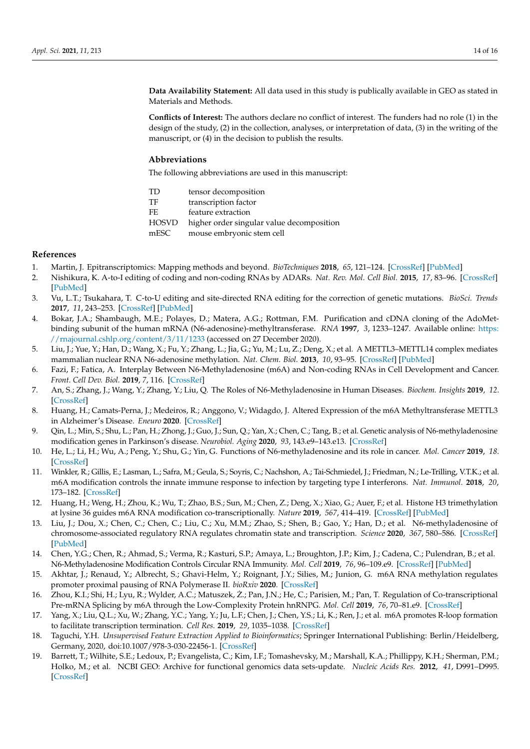**Data Availability Statement:** All data used in this study is publically available in GEO as stated in Materials and Methods.

**Conflicts of Interest:** The authors declare no conflict of interest. The funders had no role (1) in the design of the study, (2) in the collection, analyses, or interpretation of data, (3) in the writing of the manuscript, or (4) in the decision to publish the results.

# **Abbreviations**

The following abbreviations are used in this manuscript:

| TD    | tensor decomposition                      |
|-------|-------------------------------------------|
| TF    | transcription factor                      |
| FE    | feature extraction                        |
| HOSVD | higher order singular value decomposition |
| mESC  | mouse embryonic stem cell                 |
|       |                                           |

#### **References**

- 1. Martin, J. Epitranscriptomics: Mapping methods and beyond. *BioTechniques* **2018**, *65*, 121–124. [CrossRef] [PubMed]
- 2. Nishikura, K. A-to-I editing of coding and non-coding RNAs by ADARs. *Nat. Rev. Mol. Cell Biol.* **2015**, *17*, 83–96. [CrossRef] [PubMed]
- 3. Vu, L.T.; Tsukahara, T. C-to-U editing and site-directed RNA editing for the correction of genetic mutations. *BioSci. Trends* **2017**, *11*, 243–253. [CrossRef] [PubMed]
- 4. Bokar, J.A.; Shambaugh, M.E.; Polayes, D.; Matera, A.G.; Rottman, F.M. Purification and cDNA cloning of the AdoMetbinding subunit of the human mRNA (N6-adenosine)-methyltransferase. *RNA* **1997**, *3*, 1233–1247. Available online: https: //rnajournal.cshlp.org/content/3/11/1233 (accessed on 27 December 2020).
- 5. Liu, J.; Yue, Y.; Han, D.; Wang, X.; Fu, Y.; Zhang, L.; Jia, G.; Yu, M.; Lu, Z.; Deng, X.; et al. A METTL3–METTL14 complex mediates mammalian nuclear RNA N6-adenosine methylation. *Nat. Chem. Biol.* **2013**, *10*, 93–95. [CrossRef] [PubMed]
- 6. Fazi, F.; Fatica, A. Interplay Between N6-Methyladenosine (m6A) and Non-coding RNAs in Cell Development and Cancer. *Front. Cell Dev. Biol.* **2019**, *7*, 116. [CrossRef]
- 7. An, S.; Zhang, J.; Wang, Y.; Zhang, Y.; Liu, Q. The Roles of N6-Methyladenosine in Human Diseases. *Biochem. Insights* **2019**, *12*. [CrossRef]
- 8. Huang, H.; Camats-Perna, J.; Medeiros, R.; Anggono, V.; Widagdo, J. Altered Expression of the m6A Methyltransferase METTL3 in Alzheimer's Disease. *Eneuro* **2020**. [CrossRef]
- 9. Qin, L.; Min, S.; Shu, L.; Pan, H.; Zhong, J.; Guo, J.; Sun, Q.; Yan, X.; Chen, C.; Tang, B.; et al. Genetic analysis of N6-methyladenosine modification genes in Parkinson's disease. *Neurobiol. Aging* **2020**, *93*, 143.e9–143.e13. [CrossRef]
- 10. He, L.; Li, H.; Wu, A.; Peng, Y.; Shu, G.; Yin, G. Functions of N6-methyladenosine and its role in cancer. *Mol. Cancer* **2019**, *18*. [CrossRef]
- 11. Winkler, R.; Gillis, E.; Lasman, L.; Safra, M.; Geula, S.; Soyris, C.; Nachshon, A.; Tai-Schmiedel, J.; Friedman, N.; Le-Trilling, V.T.K.; et al. m6A modification controls the innate immune response to infection by targeting type I interferons. *Nat. Immunol.* **2018**, *20*, 173–182. [CrossRef]
- 12. Huang, H.; Weng, H.; Zhou, K.; Wu, T.; Zhao, B.S.; Sun, M.; Chen, Z.; Deng, X.; Xiao, G.; Auer, F.; et al. Histone H3 trimethylation at lysine 36 guides m6A RNA modification co-transcriptionally. *Nature* **2019**, *567*, 414–419. [CrossRef] [PubMed]
- Liu, J.; Dou, X.; Chen, C.; Chen, C.; Liu, C.; Xu, M.M.; Zhao, S.; Shen, B.; Gao, Y.; Han, D.; et al. N6-methyladenosine of chromosome-associated regulatory RNA regulates chromatin state and transcription. *Science* **2020**, *367*, 580–586. [CrossRef] [PubMed]
- 14. Chen, Y.G.; Chen, R.; Ahmad, S.; Verma, R.; Kasturi, S.P.; Amaya, L.; Broughton, J.P.; Kim, J.; Cadena, C.; Pulendran, B.; et al. N6-Methyladenosine Modification Controls Circular RNA Immunity. *Mol. Cell* **2019**, *76*, 96–109.e9. [CrossRef] [PubMed]
- 15. Akhtar, J.; Renaud, Y.; Albrecht, S.; Ghavi-Helm, Y.; Roignant, J.Y.; Silies, M.; Junion, G. m6A RNA methylation regulates promoter proximal pausing of RNA Polymerase II. *bioRxiv* **2020**. [CrossRef]
- 16. Zhou, K.I.; Shi, H.; Lyu, R.; Wylder, A.C.; Matuszek, Z.; Pan, J.N.; He, C.; Parisien, M.; Pan, T. Regulation of Co-transcriptional ˙ Pre-mRNA Splicing by m6A through the Low-Complexity Protein hnRNPG. *Mol. Cell* **2019**, *76*, 70–81.e9. [CrossRef]
- 17. Yang, X.; Liu, Q.L.; Xu, W.; Zhang, Y.C.; Yang, Y.; Ju, L.F.; Chen, J.; Chen, Y.S.; Li, K.; Ren, J.; et al. m6A promotes R-loop formation to facilitate transcription termination. *Cell Res.* **2019**, *29*, 1035–1038. [CrossRef]
- 18. Taguchi, Y.H. *Unsupervised Feature Extraction Applied to Bioinformatics*; Springer International Publishing: Berlin/Heidelberg, Germany, 2020, doi:10.1007/978-3-030-22456-1. [CrossRef]
- 19. Barrett, T.; Wilhite, S.E.; Ledoux, P.; Evangelista, C.; Kim, I.F.; Tomashevsky, M.; Marshall, K.A.; Phillippy, K.H.; Sherman, P.M.; Holko, M.; et al. NCBI GEO: Archive for functional genomics data sets-update. *Nucleic Acids Res.* **2012**, *41*, D991–D995. [CrossRef]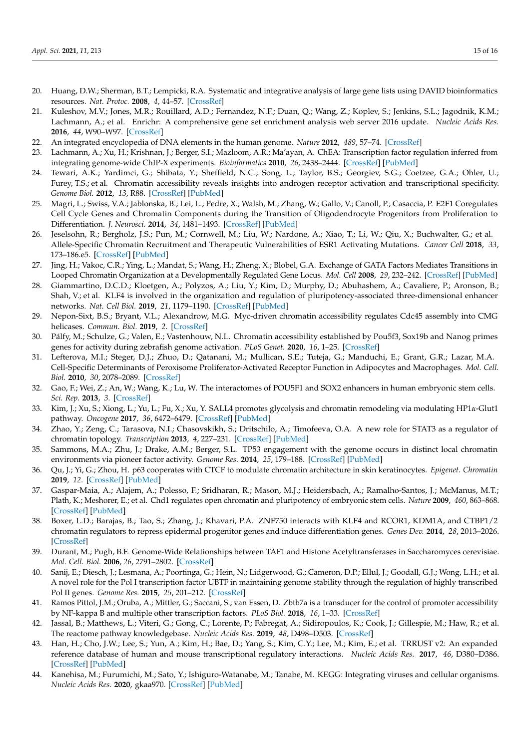- 20. Huang, D.W.; Sherman, B.T.; Lempicki, R.A. Systematic and integrative analysis of large gene lists using DAVID bioinformatics resources. *Nat. Protoc.* **2008**, *4*, 44–57. [CrossRef]
- 21. Kuleshov, M.V.; Jones, M.R.; Rouillard, A.D.; Fernandez, N.F.; Duan, Q.; Wang, Z.; Koplev, S.; Jenkins, S.L.; Jagodnik, K.M.; Lachmann, A.; et al. Enrichr: A comprehensive gene set enrichment analysis web server 2016 update. *Nucleic Acids Res.* **2016**, *44*, W90–W97. [CrossRef]
- 22. An integrated encyclopedia of DNA elements in the human genome. *Nature* **2012**, *489*, 57–74. [CrossRef]
- 23. Lachmann, A.; Xu, H.; Krishnan, J.; Berger, S.I.; Mazloom, A.R.; Ma'ayan, A. ChEA: Transcription factor regulation inferred from integrating genome-wide ChIP-X experiments. *Bioinformatics* **2010**, *26*, 2438–2444. [CrossRef] [PubMed]
- 24. Tewari, A.K.; Yardimci, G.; Shibata, Y.; Sheffield, N.C.; Song, L.; Taylor, B.S.; Georgiev, S.G.; Coetzee, G.A.; Ohler, U.; Furey, T.S.; et al. Chromatin accessibility reveals insights into androgen receptor activation and transcriptional specificity. *Genome Biol.* **2012**, *13*, R88. [CrossRef] [PubMed]
- 25. Magri, L.; Swiss, V.A.; Jablonska, B.; Lei, L.; Pedre, X.; Walsh, M.; Zhang, W.; Gallo, V.; Canoll, P.; Casaccia, P. E2F1 Coregulates Cell Cycle Genes and Chromatin Components during the Transition of Oligodendrocyte Progenitors from Proliferation to Differentiation. *J. Neurosci.* **2014**, *34*, 1481–1493. [CrossRef] [PubMed]
- 26. Jeselsohn, R.; Bergholz, J.S.; Pun, M.; Cornwell, M.; Liu, W.; Nardone, A.; Xiao, T.; Li, W.; Qiu, X.; Buchwalter, G.; et al. Allele-Specific Chromatin Recruitment and Therapeutic Vulnerabilities of ESR1 Activating Mutations. *Cancer Cell* **2018**, *33*, 173–186.e5. [CrossRef] [PubMed]
- 27. Jing, H.; Vakoc, C.R.; Ying, L.; Mandat, S.; Wang, H.; Zheng, X.; Blobel, G.A. Exchange of GATA Factors Mediates Transitions in Looped Chromatin Organization at a Developmentally Regulated Gene Locus. *Mol. Cell* **2008**, *29*, 232–242. [CrossRef] [PubMed]
- 28. Giammartino, D.C.D.; Kloetgen, A.; Polyzos, A.; Liu, Y.; Kim, D.; Murphy, D.; Abuhashem, A.; Cavaliere, P.; Aronson, B.; Shah, V.; et al. KLF4 is involved in the organization and regulation of pluripotency-associated three-dimensional enhancer networks. *Nat. Cell Biol.* **2019**, *21*, 1179–1190. [CrossRef] [PubMed]
- 29. Nepon-Sixt, B.S.; Bryant, V.L.; Alexandrow, M.G. Myc-driven chromatin accessibility regulates Cdc45 assembly into CMG helicases. *Commun. Biol.* **2019**, *2*. [CrossRef]
- 30. Pálfy, M.; Schulze, G.; Valen, E.; Vastenhouw, N.L. Chromatin accessibility established by Pou5f3, Sox19b and Nanog primes genes for activity during zebrafish genome activation. *PLoS Genet.* **2020**, *16*, 1–25. [CrossRef]
- 31. Lefterova, M.I.; Steger, D.J.; Zhuo, D.; Qatanani, M.; Mullican, S.E.; Tuteja, G.; Manduchi, E.; Grant, G.R.; Lazar, M.A. Cell-Specific Determinants of Peroxisome Proliferator-Activated Receptor Function in Adipocytes and Macrophages. *Mol. Cell. Biol.* **2010**, *30*, 2078–2089. [CrossRef]
- 32. Gao, F.; Wei, Z.; An, W.; Wang, K.; Lu, W. The interactomes of POU5F1 and SOX2 enhancers in human embryonic stem cells. *Sci. Rep.* **2013**, *3*. [CrossRef]
- 33. Kim, J.; Xu, S.; Xiong, L.; Yu, L.; Fu, X.; Xu, Y. SALL4 promotes glycolysis and chromatin remodeling via modulating HP1*α*-Glut1 pathway. *Oncogene* **2017**, *36*, 6472–6479. [CrossRef] [PubMed]
- 34. Zhao, Y.; Zeng, C.; Tarasova, N.I.; Chasovskikh, S.; Dritschilo, A.; Timofeeva, O.A. A new role for STAT3 as a regulator of chromatin topology. *Transcription* **2013**, *4*, 227–231. [CrossRef] [PubMed]
- 35. Sammons, M.A.; Zhu, J.; Drake, A.M.; Berger, S.L. TP53 engagement with the genome occurs in distinct local chromatin environments via pioneer factor activity. *Genome Res.* **2014**, *25*, 179–188. [CrossRef] [PubMed]
- 36. Qu, J.; Yi, G.; Zhou, H. p63 cooperates with CTCF to modulate chromatin architecture in skin keratinocytes. *Epigenet. Chromatin* **2019**, *12*. [CrossRef] [PubMed]
- 37. Gaspar-Maia, A.; Alajem, A.; Polesso, F.; Sridharan, R.; Mason, M.J.; Heidersbach, A.; Ramalho-Santos, J.; McManus, M.T.; Plath, K.; Meshorer, E.; et al. Chd1 regulates open chromatin and pluripotency of embryonic stem cells. *Nature* **2009**, *460*, 863–868. [CrossRef] [PubMed]
- 38. Boxer, L.D.; Barajas, B.; Tao, S.; Zhang, J.; Khavari, P.A. ZNF750 interacts with KLF4 and RCOR1, KDM1A, and CTBP1/2 chromatin regulators to repress epidermal progenitor genes and induce differentiation genes. *Genes Dev.* **2014**, *28*, 2013–2026. [CrossRef]
- 39. Durant, M.; Pugh, B.F. Genome-Wide Relationships between TAF1 and Histone Acetyltransferases in Saccharomyces cerevisiae. *Mol. Cell. Biol.* **2006**, *26*, 2791–2802. [CrossRef]
- 40. Sanij, E.; Diesch, J.; Lesmana, A.; Poortinga, G.; Hein, N.; Lidgerwood, G.; Cameron, D.P.; Ellul, J.; Goodall, G.J.; Wong, L.H.; et al. A novel role for the Pol I transcription factor UBTF in maintaining genome stability through the regulation of highly transcribed Pol II genes. *Genome Res.* **2015**, *25*, 201–212. [CrossRef]
- 41. Ramos Pittol, J.M.; Oruba, A.; Mittler, G.; Saccani, S.; van Essen, D. Zbtb7a is a transducer for the control of promoter accessibility by NF-kappa B and multiple other transcription factors. *PLoS Biol.* **2018**, *16*, 1–33. [CrossRef]
- 42. Jassal, B.; Matthews, L.; Viteri, G.; Gong, C.; Lorente, P.; Fabregat, A.; Sidiropoulos, K.; Cook, J.; Gillespie, M.; Haw, R.; et al. The reactome pathway knowledgebase. *Nucleic Acids Res.* **2019**, *48*, D498–D503. [CrossRef]
- 43. Han, H.; Cho, J.W.; Lee, S.; Yun, A.; Kim, H.; Bae, D.; Yang, S.; Kim, C.Y.; Lee, M.; Kim, E.; et al. TRRUST v2: An expanded reference database of human and mouse transcriptional regulatory interactions. *Nucleic Acids Res.* **2017**, *46*, D380–D386. [CrossRef] [PubMed]
- 44. Kanehisa, M.; Furumichi, M.; Sato, Y.; Ishiguro-Watanabe, M.; Tanabe, M. KEGG: Integrating viruses and cellular organisms. *Nucleic Acids Res.* **2020**, gkaa970. [CrossRef] [PubMed]